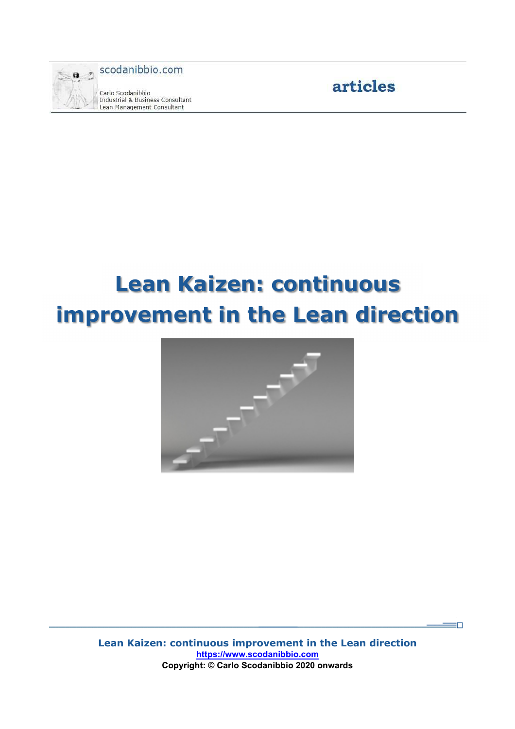

Carlo Scodanibbio Industrial & Business Consultant Lean Management Consultant



 $\equiv$   $\Box$ 

# **Lean Kaizen: continuous improvement in the Lean direction**



**Lean Kaizen: continuous improvement in the Lean direction https://www.scodanibbio.com Copyright: © Carlo Scodanibbio 2020 onwards**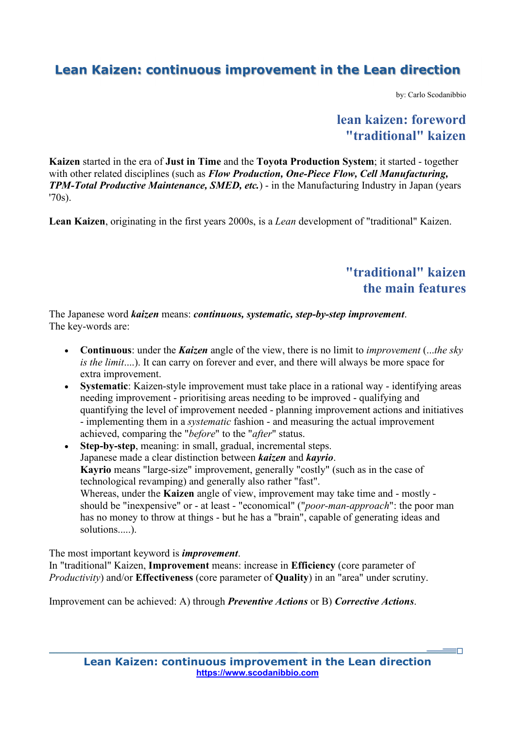by: Carlo Scodanibbio

## **lean kaizen: foreword "traditional" kaizen**

**Kaizen** started in the era of **Just in Time** and the **Toyota Production System**; it started - together with other related disciplines (such as *Flow Production, One-Piece Flow, Cell Manufacturing, TPM-Total Productive Maintenance, SMED, etc.*) - in the Manufacturing Industry in Japan (years '70s).

**Lean Kaizen**, originating in the first years 2000s, is a *Lean* development of "traditional" Kaizen.

## **"traditional" kaizen the main features**

 $=$ n

The Japanese word *kaizen* means: *continuous, systematic, step-by-step improvement*. The key-words are:

- **Continuous**: under the *Kaizen* angle of the view, there is no limit to *improvement* (...*the sky is the limit*....). It can carry on forever and ever, and there will always be more space for extra improvement.
- **Systematic**: Kaizen-style improvement must take place in a rational way identifying areas needing improvement - prioritising areas needing to be improved - qualifying and quantifying the level of improvement needed - planning improvement actions and initiatives - implementing them in a *systematic* fashion - and measuring the actual improvement achieved, comparing the "*before*" to the "*after*" status.
- **Step-by-step**, meaning: in small, gradual, incremental steps. Japanese made a clear distinction between *kaizen* and *kayrio*. **Kayrio** means "large-size" improvement, generally "costly" (such as in the case of technological revamping) and generally also rather "fast". Whereas, under the **Kaizen** angle of view, improvement may take time and - mostly should be "inexpensive" or - at least - "economical" ("*poor-man-approach*": the poor man has no money to throw at things - but he has a "brain", capable of generating ideas and solutions.....).

The most important keyword is *improvement*.

In "traditional" Kaizen, **Improvement** means: increase in **Efficiency** (core parameter of *Productivity*) and/or **Effectiveness** (core parameter of **Quality**) in an "area" under scrutiny.

Improvement can be achieved: A) through *Preventive Actions* or B) *Corrective Actions*.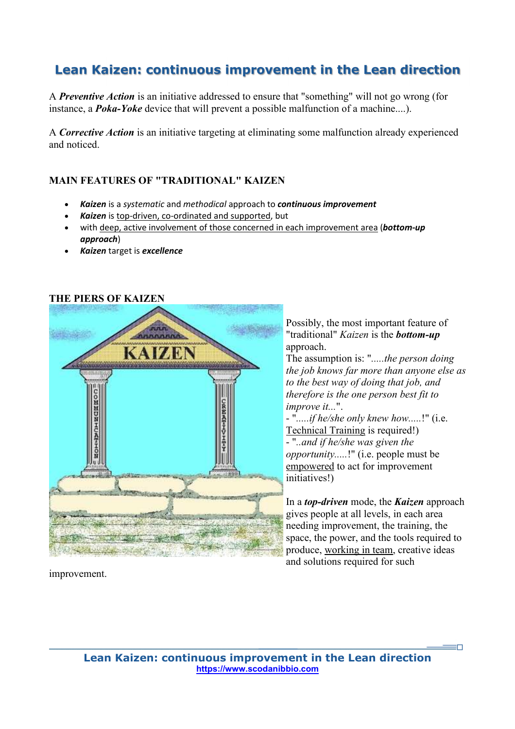A *Preventive Action* is an initiative addressed to ensure that "something" will not go wrong (for instance, a *Poka-Yoke* device that will prevent a possible malfunction of a machine....).

A *Corrective Action* is an initiative targeting at eliminating some malfunction already experienced and noticed.

#### **MAIN FEATURES OF "TRADITIONAL" KAIZEN**

- *Kaizen* is a *systematic* and *methodical* approach to *continuous improvement*
- *Kaizen* is top-driven, co-ordinated and supported, but
- with deep, active involvement of those concerned in each improvement area (*bottom-up approach*)
- *Kaizen* target is *excellence*

#### **THE PIERS OF KAIZEN**



Possibly, the most important feature of "traditional" *Kaizen* is the *bottom-up* approach.

The assumption is: "*.....the person doing the job knows far more than anyone else as to the best way of doing that job, and therefore is the one person best fit to improve it...*".

- "*.....if he/she only knew how.....*!" (i.e. Technical Training is required!)

- "*..and if he/she was given the opportunity.....*!" (i.e. people must be empowered to act for improvement initiatives!)

In a *top-driven* mode, the *Kaizen* approach gives people at all levels, in each area needing improvement, the training, the space, the power, and the tools required to produce, working in team, creative ideas and solutions required for such

improvement.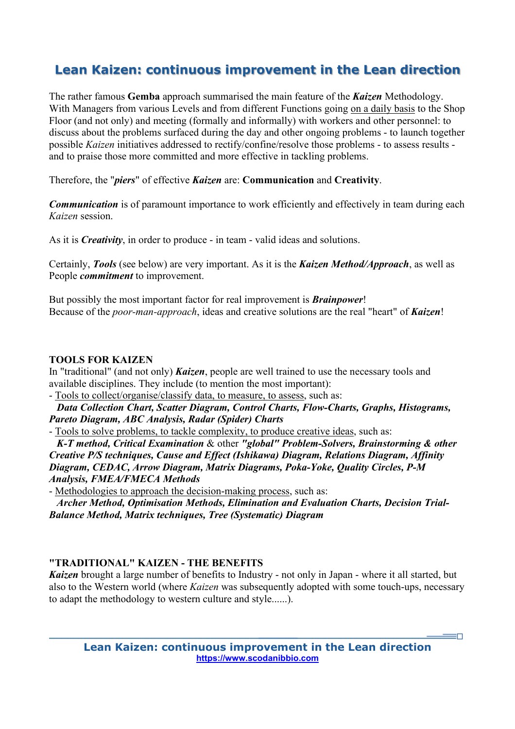The rather famous **Gemba** approach summarised the main feature of the *Kaizen* Methodology. With Managers from various Levels and from different Functions going on a daily basis to the Shop Floor (and not only) and meeting (formally and informally) with workers and other personnel: to discuss about the problems surfaced during the day and other ongoing problems - to launch together possible *Kaizen* initiatives addressed to rectify/confine/resolve those problems - to assess results and to praise those more committed and more effective in tackling problems.

Therefore, the "*piers*" of effective *Kaizen* are: **Communication** and **Creativity**.

*Communication* is of paramount importance to work efficiently and effectively in team during each *Kaizen* session.

As it is *Creativity*, in order to produce - in team - valid ideas and solutions.

Certainly, *Tools* (see below) are very important. As it is the *Kaizen Method/Approach*, as well as People *commitment* to improvement.

But possibly the most important factor for real improvement is *Brainpower*! Because of the *poor-man-approach*, ideas and creative solutions are the real "heart" of *Kaizen*!

#### **TOOLS FOR KAIZEN**

In "traditional" (and not only) *Kaizen*, people are well trained to use the necessary tools and available disciplines. They include (to mention the most important):

- Tools to collect/organise/classify data, to measure, to assess, such as:

 *Data Collection Chart, Scatter Diagram, Control Charts, Flow-Charts, Graphs, Histograms, Pareto Diagram, ABC Analysis, Radar (Spider) Charts*

- Tools to solve problems, to tackle complexity, to produce creative ideas, such as:

 *K-T method, Critical Examination* & other *"global" Problem-Solvers, Brainstorming & other Creative P/S techniques, Cause and Effect (Ishikawa) Diagram, Relations Diagram, Affinity Diagram, CEDAC, Arrow Diagram, Matrix Diagrams, Poka-Yoke, Quality Circles, P-M Analysis, FMEA/FMECA Methods*

- Methodologies to approach the decision-making process, such as:

 *Archer Method, Optimisation Methods, Elimination and Evaluation Charts, Decision Trial-Balance Method, Matrix techniques, Tree (Systematic) Diagram*

#### **"TRADITIONAL" KAIZEN - THE BENEFITS**

*Kaizen* brought a large number of benefits to Industry - not only in Japan - where it all started, but also to the Western world (where *Kaizen* was subsequently adopted with some touch-ups, necessary to adapt the methodology to western culture and style......).

ŦΠ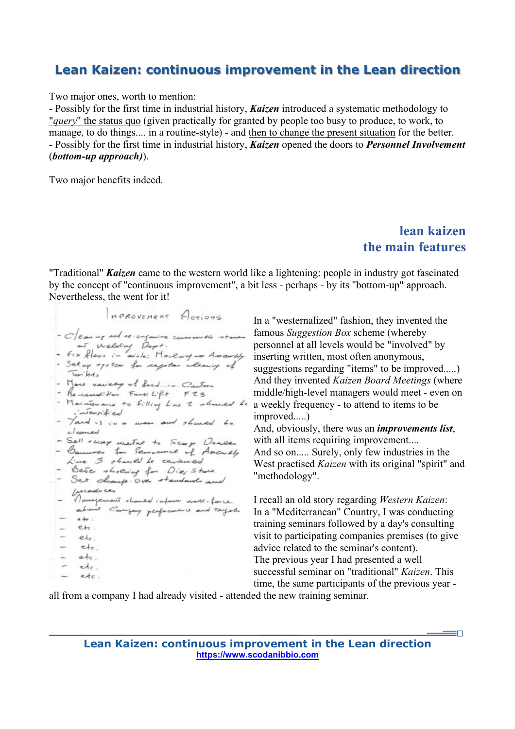Two major ones, worth to mention:

- Possibly for the first time in industrial history, *Kaizen* introduced a systematic methodology to "*query*" the status quo (given practically for granted by people too busy to produce, to work, to manage, to do things.... in a routine-style) - and then to change the present situation for the better. - Possibly for the first time in industrial history, *Kaizen* opened the doors to *Personnel Involvement* (*bottom-up approach)*).

Two major benefits indeed.

## **lean kaizen the main features**

"Traditional" *Kaizen* came to the western world like a lightening: people in industry got fascinated by the concept of "continuous improvement", a bit less - perhaps - by its "bottom-up" approach. Nevertheless, the went for it!

MPROVEMENT ACTIONS - Clean up and re-organize commisses stares at Welding Days.<br>- Fix floor in abole: Macking - Americaly - Set up ofoton for sequelar allowing of Torilets - More variety of food in Carter - Recond Now Facts Lift F25 - Maintenance to filling line 2 should be internitied<br>- Yard is in a man and shaned Le cleaned - Sell recay metal to Scap Dealer<br>- Bannes for Servermel of Assembly<br>Line 3 should be cericaled - Beve sheering for Die: Stare<br>- Set champs.over standard and - Gocantres - haved inform work-face about Company performance and tayes.  $\star +$ .  $e_{\text{tr}}$ . **Simple**  $\sim$ etc.  $etc$ .  $e+c$ . ÷  $\sim$ etc. etc.

In a "westernalized" fashion, they invented the famous *Suggestion Box* scheme (whereby personnel at all levels would be "involved" by inserting written, most often anonymous, suggestions regarding "items" to be improved.....) And they invented *Kaizen Board Meetings* (where middle/high-level managers would meet - even on a weekly frequency - to attend to items to be improved.....) And, obviously, there was an *improvements list*,

with all items requiring improvement.... And so on..... Surely, only few industries in the West practised *Kaizen* with its original "spirit" and

I recall an old story regarding *Western Kaizen*: In a "Mediterranean" Country, I was conducting training seminars followed by a day's consulting visit to participating companies premises (to give advice related to the seminar's content). The previous year I had presented a well successful seminar on "traditional" *Kaizen*. This time, the same participants of the previous year -

 $=$ n

all from a company I had already visited - attended the new training seminar.

"methodology".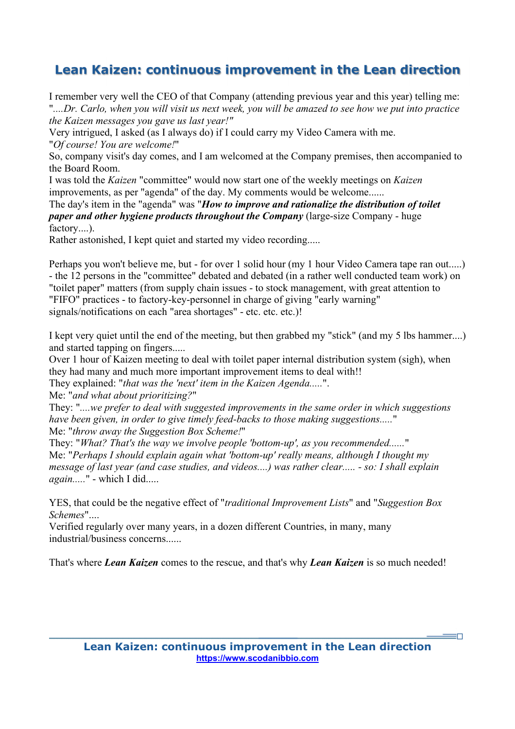I remember very well the CEO of that Company (attending previous year and this year) telling me: "*....Dr. Carlo, when you will visit us next week, you will be amazed to see how we put into practice the Kaizen messages you gave us last year!"*

Very intrigued, I asked (as I always do) if I could carry my Video Camera with me. "*Of course! You are welcome!*"

So, company visit's day comes, and I am welcomed at the Company premises, then accompanied to the Board Room.

I was told the *Kaizen* "committee" would now start one of the weekly meetings on *Kaizen* improvements, as per "agenda" of the day. My comments would be welcome......

The day's item in the "agenda" was "*How to improve and rationalize the distribution of toilet paper and other hygiene products throughout the Company* (large-size Company - huge factory....).

Rather astonished, I kept quiet and started my video recording.....

Perhaps you won't believe me, but - for over 1 solid hour (my 1 hour Video Camera tape ran out.....) - the 12 persons in the "committee" debated and debated (in a rather well conducted team work) on "toilet paper" matters (from supply chain issues - to stock management, with great attention to "FIFO" practices - to factory-key-personnel in charge of giving "early warning" signals/notifications on each "area shortages" - etc. etc.)!

I kept very quiet until the end of the meeting, but then grabbed my "stick" (and my 5 lbs hammer....) and started tapping on fingers.....

Over 1 hour of Kaizen meeting to deal with toilet paper internal distribution system (sigh), when they had many and much more important improvement items to deal with!!

They explained: "*that was the 'next' item in the Kaizen Agenda.....*".

Me: "*and what about prioritizing?*"

They: "*....we prefer to deal with suggested improvements in the same order in which suggestions have been given, in order to give timely feed-backs to those making suggestions.....*" Me: "*throw away the Suggestion Box Scheme!*"

They: "*What? That's the way we involve people 'bottom-up', as you recommended......*" Me: "*Perhaps I should explain again what 'bottom-up' really means, although I thought my message of last year (and case studies, and videos....) was rather clear..... - so: I shall explain again.....*" - which I did.....

YES, that could be the negative effect of "*traditional Improvement Lists*" and "*Suggestion Box Schemes*"....

Verified regularly over many years, in a dozen different Countries, in many, many industrial/business concerns......

That's where *Lean Kaizen* comes to the rescue, and that's why *Lean Kaizen* is so much needed!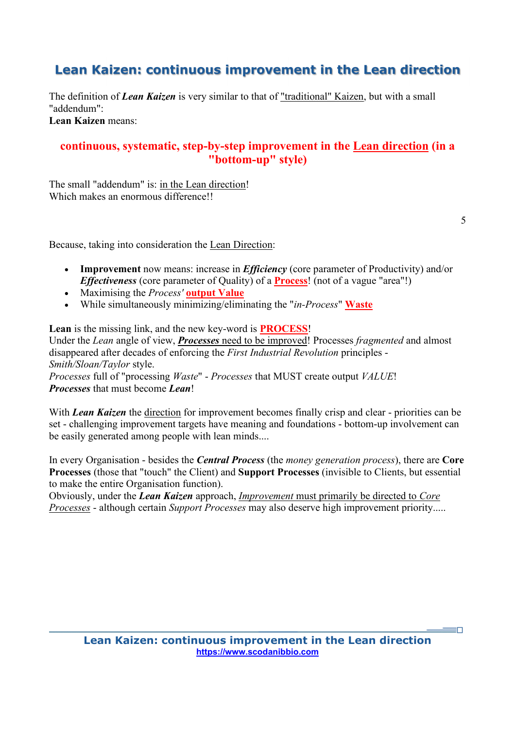The definition of *Lean Kaizen* is very similar to that of "traditional" Kaizen, but with a small "addendum":

**Lean Kaizen** means:

#### **continuous, systematic, step-by-step improvement in the Lean direction (in a "bottom-up" style)**

The small "addendum" is: in the Lean direction! Which makes an enormous difference!!

5

'n,

Because, taking into consideration the Lean Direction:

- **Improvement** now means: increase in *Efficiency* (core parameter of Productivity) and/or *Effectiveness* (core parameter of Quality) of a **Process**! (not of a vague "area"!)
- Maximising the *Process'* **output Value**
- While simultaneously minimizing/eliminating the "*in-Process*" **Waste**

**Lean** is the missing link, and the new key-word is **PROCESS**!

Under the *Lean* angle of view, *Processes* need to be improved! Processes *fragmented* and almost disappeared after decades of enforcing the *First Industrial Revolution* principles - *Smith/Sloan/Taylor* style. *Processes* full of "processing *Waste*" - *Processes* that MUST create output *VALUE*!

*Processes* that must become *Lean*!

With *Lean Kaizen* the direction for improvement becomes finally crisp and clear - priorities can be set - challenging improvement targets have meaning and foundations - bottom-up involvement can be easily generated among people with lean minds....

In every Organisation - besides the *Central Process* (the *money generation process*), there are **Core Processes** (those that "touch" the Client) and **Support Processes** (invisible to Clients, but essential to make the entire Organisation function).

Obviously, under the *Lean Kaizen* approach, *Improvement* must primarily be directed to *Core Processes* - although certain *Support Processes* may also deserve high improvement priority.....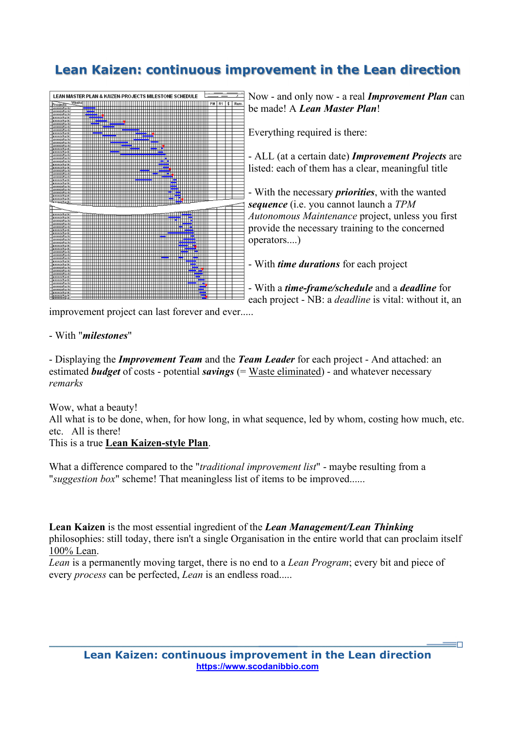

Now - and only now - a real *Improvement Plan* can be made! A *Lean Master Plan*!

Everything required is there:

- ALL (at a certain date) *Improvement Projects* are listed: each of them has a clear, meaningful title

- With the necessary *priorities*, with the wanted *sequence* (i.e. you cannot launch a *TPM Autonomous Maintenance* project, unless you first provide the necessary training to the concerned operators....)

- With *time durations* for each project

- With a *time-frame/schedule* and a *deadline* for each project - NB: a *deadline* is vital: without it, an

'n

improvement project can last forever and ever.....

#### - With "*milestones*"

- Displaying the *Improvement Team* and the *Team Leader* for each project - And attached: an estimated *budget* of costs - potential *savings* (= Waste eliminated) - and whatever necessary *remarks*

Wow, what a beauty!

All what is to be done, when, for how long, in what sequence, led by whom, costing how much, etc. etc. All is there!

This is a true **Lean Kaizen-style Plan**.

What a difference compared to the "*traditional improvement list*" - maybe resulting from a "*suggestion box*" scheme! That meaningless list of items to be improved......

**Lean Kaizen** is the most essential ingredient of the *Lean Management/Lean Thinking* philosophies: still today, there isn't a single Organisation in the entire world that can proclaim itself 100% Lean.

*Lean* is a permanently moving target, there is no end to a *Lean Program*; every bit and piece of every *process* can be perfected, *Lean* is an endless road.....